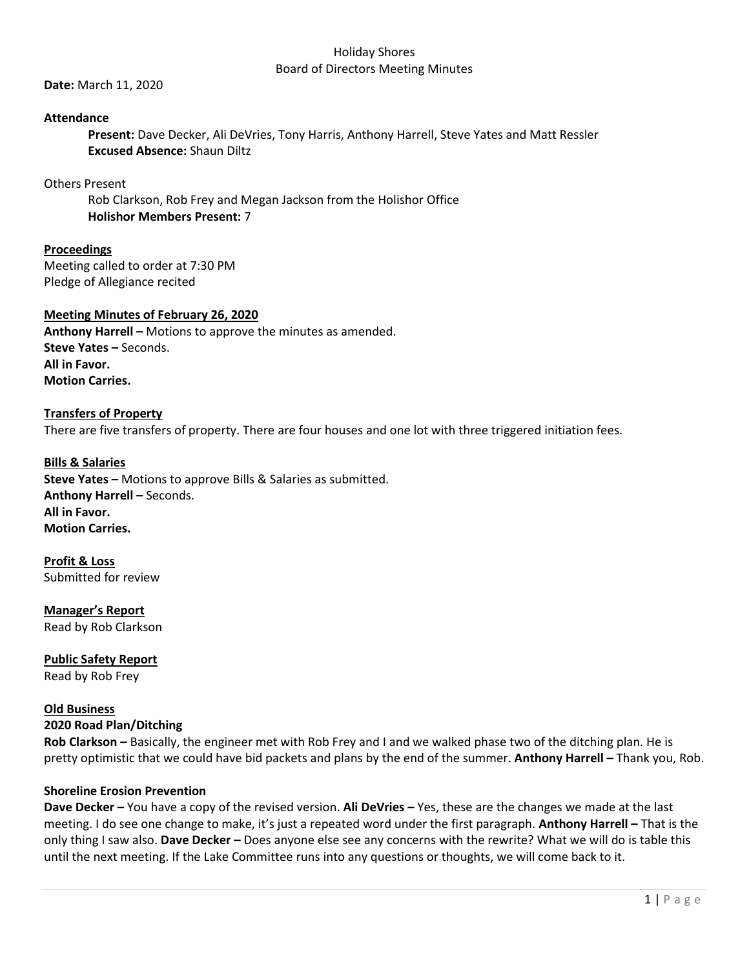## Holiday Shores Board of Directors Meeting Minutes

**Date:** March 11, 2020

# **Attendance**

**Present:** Dave Decker, Ali DeVries, Tony Harris, Anthony Harrell, Steve Yates and Matt Ressler **Excused Absence:** Shaun Diltz

Others Present

Rob Clarkson, Rob Frey and Megan Jackson from the Holishor Office **Holishor Members Present:** 7

**Proceedings** Meeting called to order at 7:30 PM Pledge of Allegiance recited

# **Meeting Minutes of February 26, 2020**

**Anthony Harrell –** Motions to approve the minutes as amended. **Steve Yates –** Seconds. **All in Favor. Motion Carries.**

# **Transfers of Property**

There are five transfers of property. There are four houses and one lot with three triggered initiation fees.

**Bills & Salaries Steve Yates –** Motions to approve Bills & Salaries as submitted. **Anthony Harrell –** Seconds. **All in Favor. Motion Carries.**

**Profit & Loss** Submitted for review

**Manager's Report** Read by Rob Clarkson

**Public Safety Report** Read by Rob Frey

# **Old Business**

# **2020 Road Plan/Ditching**

**Rob Clarkson –** Basically, the engineer met with Rob Frey and I and we walked phase two of the ditching plan. He is pretty optimistic that we could have bid packets and plans by the end of the summer. **Anthony Harrell –** Thank you, Rob.

#### **Shoreline Erosion Prevention**

**Dave Decker –** You have a copy of the revised version. **Ali DeVries –** Yes, these are the changes we made at the last meeting. I do see one change to make, it's just a repeated word under the first paragraph. **Anthony Harrell –** That is the only thing I saw also. **Dave Decker –** Does anyone else see any concerns with the rewrite? What we will do is table this until the next meeting. If the Lake Committee runs into any questions or thoughts, we will come back to it.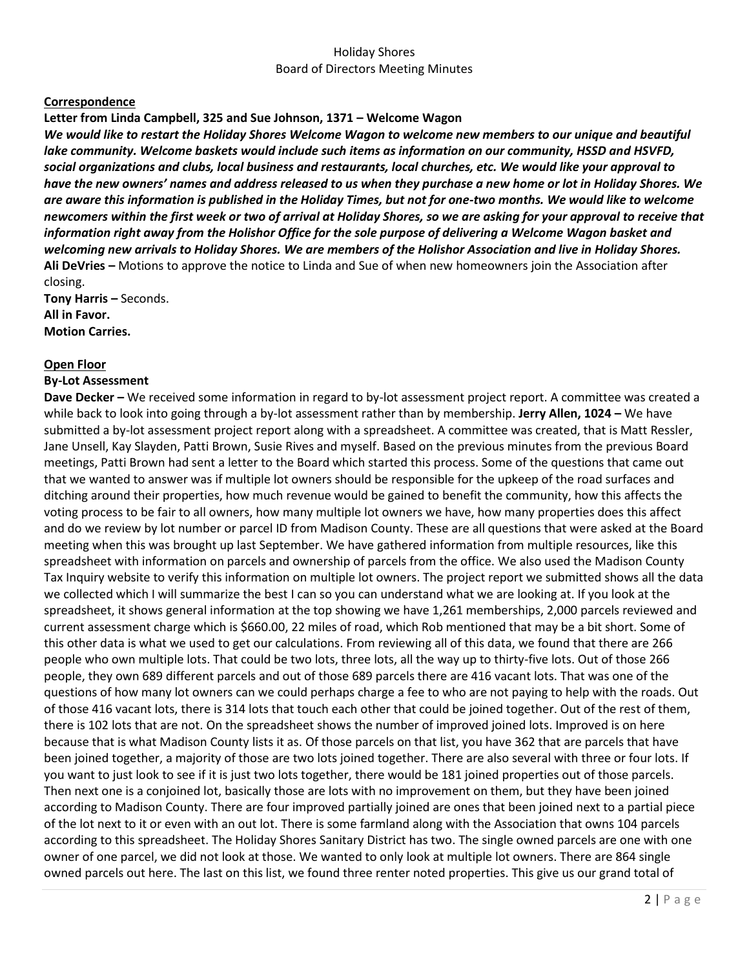# Holiday Shores Board of Directors Meeting Minutes

## **Correspondence**

## **Letter from Linda Campbell, 325 and Sue Johnson, 1371 – Welcome Wagon**

*We would like to restart the Holiday Shores Welcome Wagon to welcome new members to our unique and beautiful lake community. Welcome baskets would include such items as information on our community, HSSD and HSVFD, social organizations and clubs, local business and restaurants, local churches, etc. We would like your approval to have the new owners' names and address released to us when they purchase a new home or lot in Holiday Shores. We are aware this information is published in the Holiday Times, but not for one-two months. We would like to welcome newcomers within the first week or two of arrival at Holiday Shores, so we are asking for your approval to receive that information right away from the Holishor Office for the sole purpose of delivering a Welcome Wagon basket and welcoming new arrivals to Holiday Shores. We are members of the Holishor Association and live in Holiday Shores.*  **Ali DeVries –** Motions to approve the notice to Linda and Sue of when new homeowners join the Association after closing.

**Tony Harris –** Seconds. **All in Favor. Motion Carries.**

#### **Open Floor**

#### **By-Lot Assessment**

**Dave Decker –** We received some information in regard to by-lot assessment project report. A committee was created a while back to look into going through a by-lot assessment rather than by membership. **Jerry Allen, 1024 –** We have submitted a by-lot assessment project report along with a spreadsheet. A committee was created, that is Matt Ressler, Jane Unsell, Kay Slayden, Patti Brown, Susie Rives and myself. Based on the previous minutes from the previous Board meetings, Patti Brown had sent a letter to the Board which started this process. Some of the questions that came out that we wanted to answer was if multiple lot owners should be responsible for the upkeep of the road surfaces and ditching around their properties, how much revenue would be gained to benefit the community, how this affects the voting process to be fair to all owners, how many multiple lot owners we have, how many properties does this affect and do we review by lot number or parcel ID from Madison County. These are all questions that were asked at the Board meeting when this was brought up last September. We have gathered information from multiple resources, like this spreadsheet with information on parcels and ownership of parcels from the office. We also used the Madison County Tax Inquiry website to verify this information on multiple lot owners. The project report we submitted shows all the data we collected which I will summarize the best I can so you can understand what we are looking at. If you look at the spreadsheet, it shows general information at the top showing we have 1,261 memberships, 2,000 parcels reviewed and current assessment charge which is \$660.00, 22 miles of road, which Rob mentioned that may be a bit short. Some of this other data is what we used to get our calculations. From reviewing all of this data, we found that there are 266 people who own multiple lots. That could be two lots, three lots, all the way up to thirty-five lots. Out of those 266 people, they own 689 different parcels and out of those 689 parcels there are 416 vacant lots. That was one of the questions of how many lot owners can we could perhaps charge a fee to who are not paying to help with the roads. Out of those 416 vacant lots, there is 314 lots that touch each other that could be joined together. Out of the rest of them, there is 102 lots that are not. On the spreadsheet shows the number of improved joined lots. Improved is on here because that is what Madison County lists it as. Of those parcels on that list, you have 362 that are parcels that have been joined together, a majority of those are two lots joined together. There are also several with three or four lots. If you want to just look to see if it is just two lots together, there would be 181 joined properties out of those parcels. Then next one is a conjoined lot, basically those are lots with no improvement on them, but they have been joined according to Madison County. There are four improved partially joined are ones that been joined next to a partial piece of the lot next to it or even with an out lot. There is some farmland along with the Association that owns 104 parcels according to this spreadsheet. The Holiday Shores Sanitary District has two. The single owned parcels are one with one owner of one parcel, we did not look at those. We wanted to only look at multiple lot owners. There are 864 single owned parcels out here. The last on this list, we found three renter noted properties. This give us our grand total of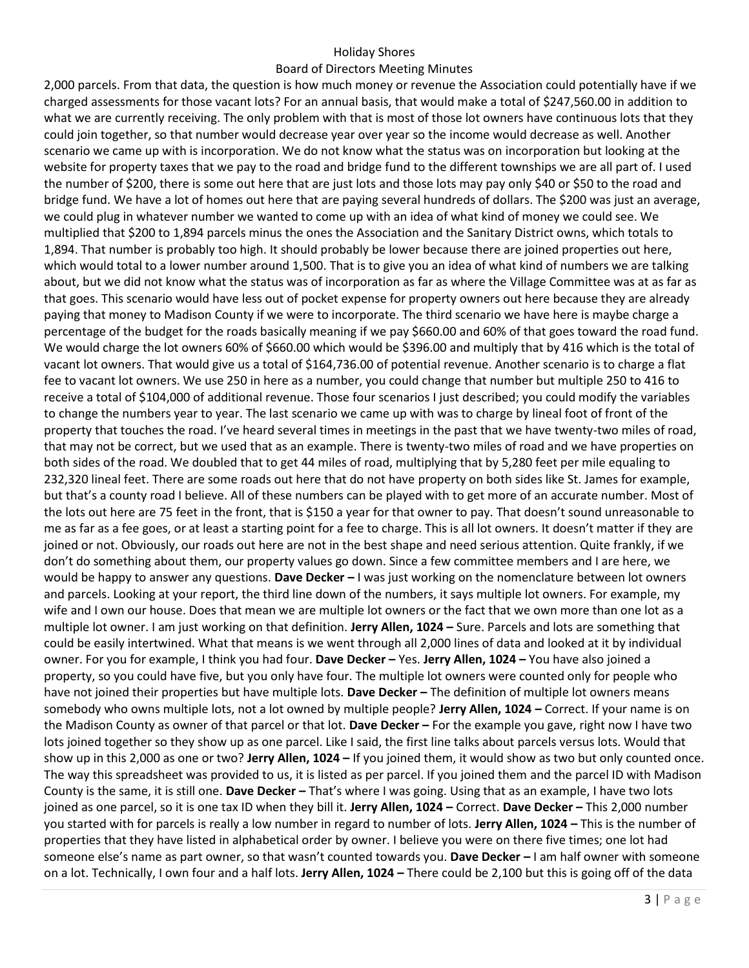## Holiday Shores

#### Board of Directors Meeting Minutes

2,000 parcels. From that data, the question is how much money or revenue the Association could potentially have if we charged assessments for those vacant lots? For an annual basis, that would make a total of \$247,560.00 in addition to what we are currently receiving. The only problem with that is most of those lot owners have continuous lots that they could join together, so that number would decrease year over year so the income would decrease as well. Another scenario we came up with is incorporation. We do not know what the status was on incorporation but looking at the website for property taxes that we pay to the road and bridge fund to the different townships we are all part of. I used the number of \$200, there is some out here that are just lots and those lots may pay only \$40 or \$50 to the road and bridge fund. We have a lot of homes out here that are paying several hundreds of dollars. The \$200 was just an average, we could plug in whatever number we wanted to come up with an idea of what kind of money we could see. We multiplied that \$200 to 1,894 parcels minus the ones the Association and the Sanitary District owns, which totals to 1,894. That number is probably too high. It should probably be lower because there are joined properties out here, which would total to a lower number around 1,500. That is to give you an idea of what kind of numbers we are talking about, but we did not know what the status was of incorporation as far as where the Village Committee was at as far as that goes. This scenario would have less out of pocket expense for property owners out here because they are already paying that money to Madison County if we were to incorporate. The third scenario we have here is maybe charge a percentage of the budget for the roads basically meaning if we pay \$660.00 and 60% of that goes toward the road fund. We would charge the lot owners 60% of \$660.00 which would be \$396.00 and multiply that by 416 which is the total of vacant lot owners. That would give us a total of \$164,736.00 of potential revenue. Another scenario is to charge a flat fee to vacant lot owners. We use 250 in here as a number, you could change that number but multiple 250 to 416 to receive a total of \$104,000 of additional revenue. Those four scenarios I just described; you could modify the variables to change the numbers year to year. The last scenario we came up with was to charge by lineal foot of front of the property that touches the road. I've heard several times in meetings in the past that we have twenty-two miles of road, that may not be correct, but we used that as an example. There is twenty-two miles of road and we have properties on both sides of the road. We doubled that to get 44 miles of road, multiplying that by 5,280 feet per mile equaling to 232,320 lineal feet. There are some roads out here that do not have property on both sides like St. James for example, but that's a county road I believe. All of these numbers can be played with to get more of an accurate number. Most of the lots out here are 75 feet in the front, that is \$150 a year for that owner to pay. That doesn't sound unreasonable to me as far as a fee goes, or at least a starting point for a fee to charge. This is all lot owners. It doesn't matter if they are joined or not. Obviously, our roads out here are not in the best shape and need serious attention. Quite frankly, if we don't do something about them, our property values go down. Since a few committee members and I are here, we would be happy to answer any questions. **Dave Decker –** I was just working on the nomenclature between lot owners and parcels. Looking at your report, the third line down of the numbers, it says multiple lot owners. For example, my wife and I own our house. Does that mean we are multiple lot owners or the fact that we own more than one lot as a multiple lot owner. I am just working on that definition. **Jerry Allen, 1024 –** Sure. Parcels and lots are something that could be easily intertwined. What that means is we went through all 2,000 lines of data and looked at it by individual owner. For you for example, I think you had four. **Dave Decker –** Yes. **Jerry Allen, 1024 –** You have also joined a property, so you could have five, but you only have four. The multiple lot owners were counted only for people who have not joined their properties but have multiple lots. **Dave Decker –** The definition of multiple lot owners means somebody who owns multiple lots, not a lot owned by multiple people? **Jerry Allen, 1024 –** Correct. If your name is on the Madison County as owner of that parcel or that lot. **Dave Decker –** For the example you gave, right now I have two lots joined together so they show up as one parcel. Like I said, the first line talks about parcels versus lots. Would that show up in this 2,000 as one or two? **Jerry Allen, 1024 –** If you joined them, it would show as two but only counted once. The way this spreadsheet was provided to us, it is listed as per parcel. If you joined them and the parcel ID with Madison County is the same, it is still one. **Dave Decker –** That's where I was going. Using that as an example, I have two lots joined as one parcel, so it is one tax ID when they bill it. **Jerry Allen, 1024 –** Correct. **Dave Decker –** This 2,000 number you started with for parcels is really a low number in regard to number of lots. **Jerry Allen, 1024 –** This is the number of properties that they have listed in alphabetical order by owner. I believe you were on there five times; one lot had someone else's name as part owner, so that wasn't counted towards you. **Dave Decker –** I am half owner with someone on a lot. Technically, I own four and a half lots. **Jerry Allen, 1024 –** There could be 2,100 but this is going off of the data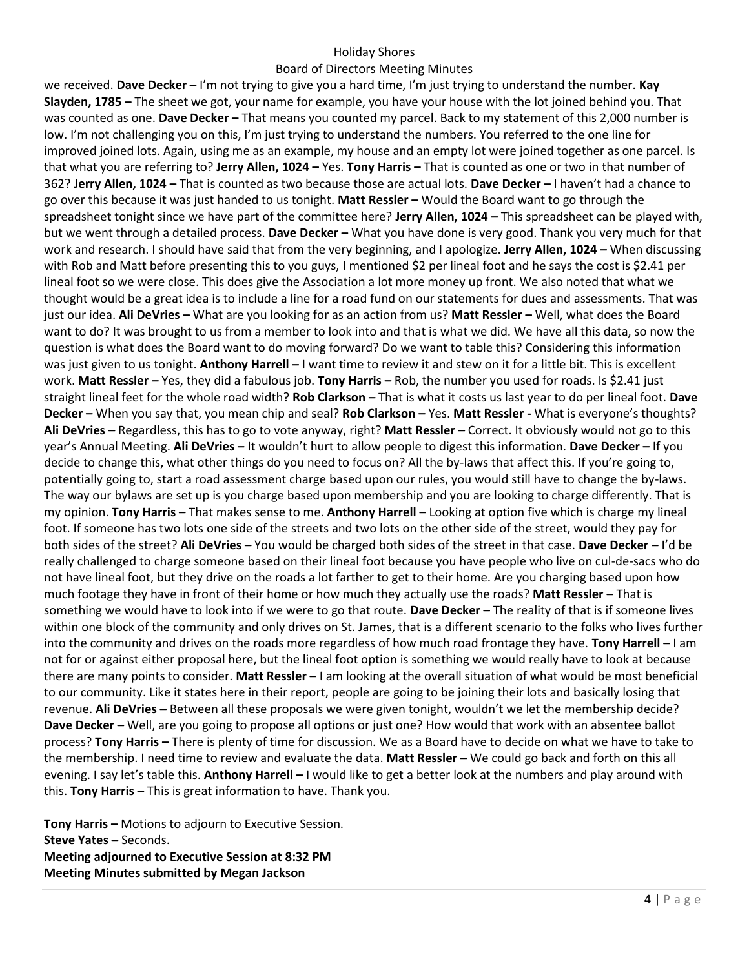## Holiday Shores

#### Board of Directors Meeting Minutes

we received. **Dave Decker –** I'm not trying to give you a hard time, I'm just trying to understand the number. **Kay Slayden, 1785 –** The sheet we got, your name for example, you have your house with the lot joined behind you. That was counted as one. **Dave Decker –** That means you counted my parcel. Back to my statement of this 2,000 number is low. I'm not challenging you on this, I'm just trying to understand the numbers. You referred to the one line for improved joined lots. Again, using me as an example, my house and an empty lot were joined together as one parcel. Is that what you are referring to? **Jerry Allen, 1024 –** Yes. **Tony Harris –** That is counted as one or two in that number of 362? **Jerry Allen, 1024 –** That is counted as two because those are actual lots. **Dave Decker –** I haven't had a chance to go over this because it was just handed to us tonight. **Matt Ressler –** Would the Board want to go through the spreadsheet tonight since we have part of the committee here? **Jerry Allen, 1024 –** This spreadsheet can be played with, but we went through a detailed process. **Dave Decker –** What you have done is very good. Thank you very much for that work and research. I should have said that from the very beginning, and I apologize. **Jerry Allen, 1024 –** When discussing with Rob and Matt before presenting this to you guys, I mentioned \$2 per lineal foot and he says the cost is \$2.41 per lineal foot so we were close. This does give the Association a lot more money up front. We also noted that what we thought would be a great idea is to include a line for a road fund on our statements for dues and assessments. That was just our idea. **Ali DeVries –** What are you looking for as an action from us? **Matt Ressler –** Well, what does the Board want to do? It was brought to us from a member to look into and that is what we did. We have all this data, so now the question is what does the Board want to do moving forward? Do we want to table this? Considering this information was just given to us tonight. **Anthony Harrell –** I want time to review it and stew on it for a little bit. This is excellent work. **Matt Ressler –** Yes, they did a fabulous job. **Tony Harris –** Rob, the number you used for roads. Is \$2.41 just straight lineal feet for the whole road width? **Rob Clarkson –** That is what it costs us last year to do per lineal foot. **Dave Decker –** When you say that, you mean chip and seal? **Rob Clarkson –** Yes. **Matt Ressler -** What is everyone's thoughts? **Ali DeVries –** Regardless, this has to go to vote anyway, right? **Matt Ressler –** Correct. It obviously would not go to this year's Annual Meeting. **Ali DeVries –** It wouldn't hurt to allow people to digest this information. **Dave Decker –** If you decide to change this, what other things do you need to focus on? All the by-laws that affect this. If you're going to, potentially going to, start a road assessment charge based upon our rules, you would still have to change the by-laws. The way our bylaws are set up is you charge based upon membership and you are looking to charge differently. That is my opinion. **Tony Harris –** That makes sense to me. **Anthony Harrell –** Looking at option five which is charge my lineal foot. If someone has two lots one side of the streets and two lots on the other side of the street, would they pay for both sides of the street? **Ali DeVries –** You would be charged both sides of the street in that case. **Dave Decker –** I'd be really challenged to charge someone based on their lineal foot because you have people who live on cul-de-sacs who do not have lineal foot, but they drive on the roads a lot farther to get to their home. Are you charging based upon how much footage they have in front of their home or how much they actually use the roads? **Matt Ressler –** That is something we would have to look into if we were to go that route. **Dave Decker –** The reality of that is if someone lives within one block of the community and only drives on St. James, that is a different scenario to the folks who lives further into the community and drives on the roads more regardless of how much road frontage they have. **Tony Harrell –** I am not for or against either proposal here, but the lineal foot option is something we would really have to look at because there are many points to consider. **Matt Ressler –** I am looking at the overall situation of what would be most beneficial to our community. Like it states here in their report, people are going to be joining their lots and basically losing that revenue. **Ali DeVries –** Between all these proposals we were given tonight, wouldn't we let the membership decide? **Dave Decker –** Well, are you going to propose all options or just one? How would that work with an absentee ballot process? **Tony Harris –** There is plenty of time for discussion. We as a Board have to decide on what we have to take to the membership. I need time to review and evaluate the data. **Matt Ressler –** We could go back and forth on this all evening. I say let's table this. **Anthony Harrell –** I would like to get a better look at the numbers and play around with this. **Tony Harris –** This is great information to have. Thank you.

**Tony Harris –** Motions to adjourn to Executive Session. **Steve Yates –** Seconds. **Meeting adjourned to Executive Session at 8:32 PM Meeting Minutes submitted by Megan Jackson**